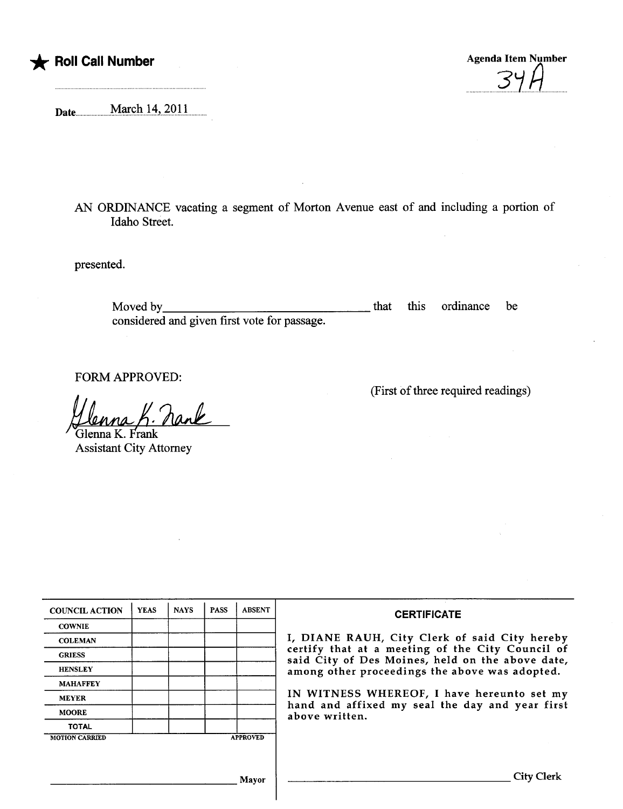

\* Roll Call Number Agenda Item Number Agenda Item Number  $U \cup I$ 

(First of thee required readings)

Date...........M.arçhJ.4'-.~Q.U

AN ORDINANCE vacating a segment of Morton Avenue east of and including a portion of Idaho Street.

presented.

Moved by considered and given first vote for passage. that this ordinance be

FORM APPROVED:<br>*Ulenna K. Ra* 

**Assistant City Attorney** 

| <b>YEAS</b>                              | <b>NAYS</b> | <b>PASS</b> | <b>ABSENT</b> | <b>CERTIFICATE</b>                                                                                                                                                                                                                                                                                                         |
|------------------------------------------|-------------|-------------|---------------|----------------------------------------------------------------------------------------------------------------------------------------------------------------------------------------------------------------------------------------------------------------------------------------------------------------------------|
|                                          |             |             |               |                                                                                                                                                                                                                                                                                                                            |
|                                          |             |             |               | I, DIANE RAUH, City Clerk of said City hereby<br>certify that at a meeting of the City Council of<br>said City of Des Moines, held on the above date,<br>among other proceedings the above was adopted.<br>IN WITNESS WHEREOF, I have hereunto set my<br>hand and affixed my seal the day and year first<br>above written. |
|                                          |             |             |               |                                                                                                                                                                                                                                                                                                                            |
|                                          |             |             |               |                                                                                                                                                                                                                                                                                                                            |
|                                          |             |             |               |                                                                                                                                                                                                                                                                                                                            |
|                                          |             |             |               |                                                                                                                                                                                                                                                                                                                            |
|                                          |             |             |               |                                                                                                                                                                                                                                                                                                                            |
|                                          |             |             |               |                                                                                                                                                                                                                                                                                                                            |
| <b>APPROVED</b><br><b>MOTION CARRIED</b> |             |             |               |                                                                                                                                                                                                                                                                                                                            |
|                                          |             |             |               |                                                                                                                                                                                                                                                                                                                            |
|                                          |             |             |               |                                                                                                                                                                                                                                                                                                                            |
| Mayor                                    |             |             |               | <b>City Clerk</b>                                                                                                                                                                                                                                                                                                          |
|                                          |             |             |               |                                                                                                                                                                                                                                                                                                                            |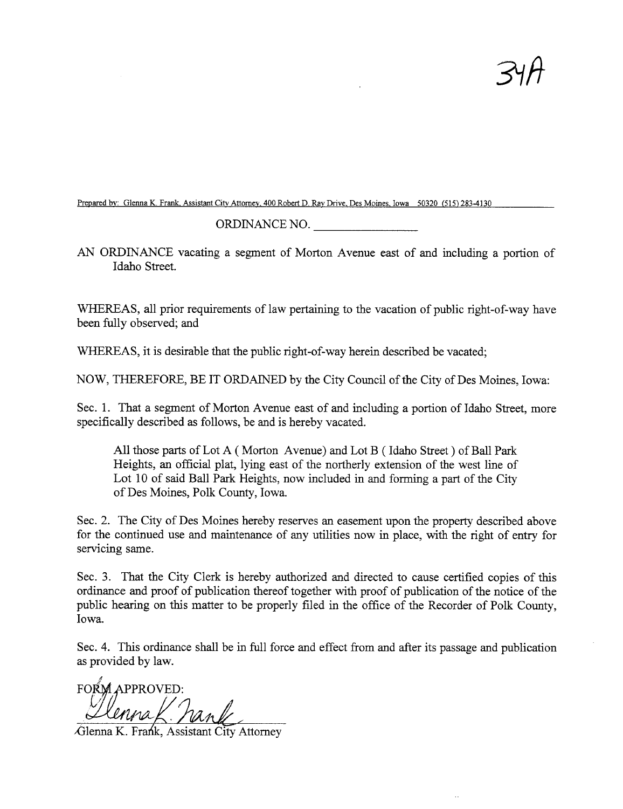$34h$ 

Prepared by: Glenna K. Frank, Assistant City Attorney, 400 Robert D. Ray Drive, Des Moines, Iowa 50320 (515) 283-4130

ORDINANCE NO.

AN ORDINANCE vacating a segment of Morton Avenue east of and including a portion of Idaho Street.

WHEREAS, all prior requirements of law pertaining to the vacation of public right-of-way have been fuly observed; and

WHEREAS, it is desirable that the public right-of-way herein described be vacated;

NOW, THEREFORE, BE IT ORDAINED by the City Council of the City of Des Moines, Iowa:

Sec. 1. That a segment of Morton Avenue east of and including a portion of Idaho Street, more specifically described as follows, be and is hereby vacated.

All those pars of Lot A ( Morton Avenue) and Lot B ( Idaho Street) of Ball Park Heights, an official plat, lying east of the northerly extension of the west line of Lot 10 of said Ball Park Heights, now included in and forming a part of the City of Des Moines, Polk County, Iowa.

Sec. 2. The City of Des Moines hereby reserves an easement upon the property described above for the continued use and maintenance of any utilities now in place, with the right of entry for servicing same.

Sec. 3. That the City Clerk is hereby authorized and directed to cause certified copies of this ordinance and proof of publication thereof together with proof of publication of the notice of the public hearing on this matter to be properly filed in the office of the Recorder of Polk County, Iowa.

Sec. 4. This ordinance shall be in full force and effect from and after its passage and publication as provided by law.

4 ¡,'  $l$  anna K. Fan

Glenna K. Frank, Assistant City Attorney